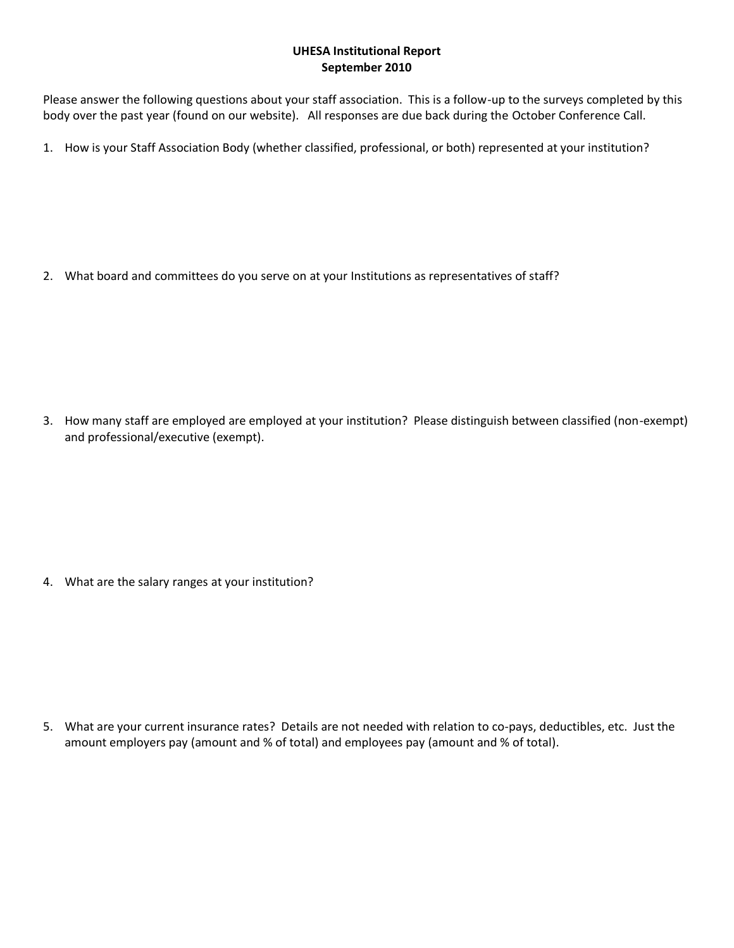## **UHESA Institutional Report September 2010**

Please answer the following questions about your staff association. This is a follow-up to the surveys completed by this body over the past year (found on our website). All responses are due back during the October Conference Call.

1. How is your Staff Association Body (whether classified, professional, or both) represented at your institution?

2. What board and committees do you serve on at your Institutions as representatives of staff?

3. How many staff are employed are employed at your institution? Please distinguish between classified (non-exempt) and professional/executive (exempt).

4. What are the salary ranges at your institution?

5. What are your current insurance rates? Details are not needed with relation to co-pays, deductibles, etc. Just the amount employers pay (amount and % of total) and employees pay (amount and % of total).